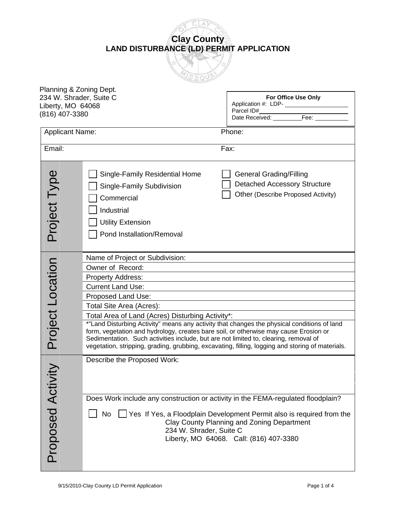**Clay County LAND DISTURBANCE (LD) PERMIT APPLICATION**

| Planning & Zoning Dept. |                                                                                                                                                                                                                                                                                                                                                                                 |                                                                                                                                                                |  |  |
|-------------------------|---------------------------------------------------------------------------------------------------------------------------------------------------------------------------------------------------------------------------------------------------------------------------------------------------------------------------------------------------------------------------------|----------------------------------------------------------------------------------------------------------------------------------------------------------------|--|--|
| 234 W. Shrader, Suite C |                                                                                                                                                                                                                                                                                                                                                                                 | For Office Use Only                                                                                                                                            |  |  |
| Liberty, MO 64068       |                                                                                                                                                                                                                                                                                                                                                                                 |                                                                                                                                                                |  |  |
| (816) 407-3380          |                                                                                                                                                                                                                                                                                                                                                                                 | Parcel ID#<br>Date Received: Fee:                                                                                                                              |  |  |
|                         |                                                                                                                                                                                                                                                                                                                                                                                 |                                                                                                                                                                |  |  |
| <b>Applicant Name:</b>  |                                                                                                                                                                                                                                                                                                                                                                                 | Phone:                                                                                                                                                         |  |  |
| Email:                  |                                                                                                                                                                                                                                                                                                                                                                                 | Fax:                                                                                                                                                           |  |  |
| Project Type            | Single-Family Residential Home<br>Single-Family Subdivision<br>Commercial<br>Industrial<br><b>Utility Extension</b><br>Pond Installation/Removal                                                                                                                                                                                                                                | <b>General Grading/Filling</b><br><b>Detached Accessory Structure</b><br>Other (Describe Proposed Activity)                                                    |  |  |
|                         | Name of Project or Subdivision:                                                                                                                                                                                                                                                                                                                                                 |                                                                                                                                                                |  |  |
|                         | Owner of Record:                                                                                                                                                                                                                                                                                                                                                                |                                                                                                                                                                |  |  |
|                         | <b>Property Address:</b>                                                                                                                                                                                                                                                                                                                                                        |                                                                                                                                                                |  |  |
|                         | <b>Current Land Use:</b>                                                                                                                                                                                                                                                                                                                                                        |                                                                                                                                                                |  |  |
|                         | Proposed Land Use:                                                                                                                                                                                                                                                                                                                                                              |                                                                                                                                                                |  |  |
|                         |                                                                                                                                                                                                                                                                                                                                                                                 |                                                                                                                                                                |  |  |
|                         | Total Site Area (Acres):                                                                                                                                                                                                                                                                                                                                                        |                                                                                                                                                                |  |  |
|                         | Total Area of Land (Acres) Disturbing Activity*:                                                                                                                                                                                                                                                                                                                                |                                                                                                                                                                |  |  |
| <b>Project Location</b> | *"Land Disturbing Activity" means any activity that changes the physical conditions of land<br>form, vegetation and hydrology, creates bare soil, or otherwise may cause Erosion or<br>Sedimentation. Such activities include, but are not limited to, clearing, removal of<br>vegetation, stripping, grading, grubbing, excavating, filling, logging and storing of materials. |                                                                                                                                                                |  |  |
|                         | Describe the Proposed Work:                                                                                                                                                                                                                                                                                                                                                     |                                                                                                                                                                |  |  |
|                         |                                                                                                                                                                                                                                                                                                                                                                                 |                                                                                                                                                                |  |  |
|                         | Does Work include any construction or activity in the FEMA-regulated floodplain?                                                                                                                                                                                                                                                                                                |                                                                                                                                                                |  |  |
| Proposed Activ          | No<br>234 W. Shrader, Suite C                                                                                                                                                                                                                                                                                                                                                   | Yes If Yes, a Floodplain Development Permit also is required from the<br>Clay County Planning and Zoning Department<br>Liberty, MO 64068. Call: (816) 407-3380 |  |  |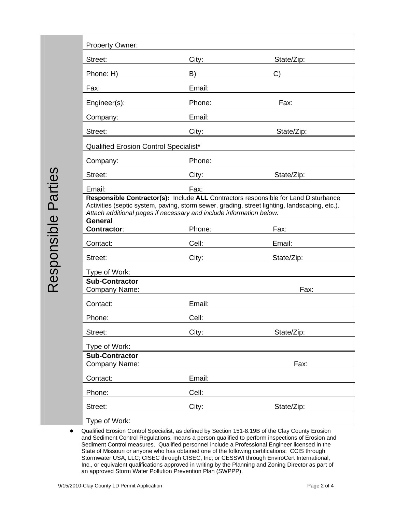|                    | <b>Property Owner:</b>                                                                                                                                                                                                                                      |                                       |                                                                                                                                                                                                                                                                                                                                                                                                                                                                                                                                                                                                                                |  |  |
|--------------------|-------------------------------------------------------------------------------------------------------------------------------------------------------------------------------------------------------------------------------------------------------------|---------------------------------------|--------------------------------------------------------------------------------------------------------------------------------------------------------------------------------------------------------------------------------------------------------------------------------------------------------------------------------------------------------------------------------------------------------------------------------------------------------------------------------------------------------------------------------------------------------------------------------------------------------------------------------|--|--|
|                    | Street:                                                                                                                                                                                                                                                     | City:                                 | State/Zip:                                                                                                                                                                                                                                                                                                                                                                                                                                                                                                                                                                                                                     |  |  |
|                    | Phone: H)                                                                                                                                                                                                                                                   | B)                                    | C)                                                                                                                                                                                                                                                                                                                                                                                                                                                                                                                                                                                                                             |  |  |
|                    | Fax:                                                                                                                                                                                                                                                        | Email:                                |                                                                                                                                                                                                                                                                                                                                                                                                                                                                                                                                                                                                                                |  |  |
|                    | Engineer(s):                                                                                                                                                                                                                                                | Phone:                                | Fax:                                                                                                                                                                                                                                                                                                                                                                                                                                                                                                                                                                                                                           |  |  |
|                    | Company:                                                                                                                                                                                                                                                    | Email:                                |                                                                                                                                                                                                                                                                                                                                                                                                                                                                                                                                                                                                                                |  |  |
|                    | Street:                                                                                                                                                                                                                                                     | City:                                 | State/Zip:                                                                                                                                                                                                                                                                                                                                                                                                                                                                                                                                                                                                                     |  |  |
|                    |                                                                                                                                                                                                                                                             | Qualified Erosion Control Specialist* |                                                                                                                                                                                                                                                                                                                                                                                                                                                                                                                                                                                                                                |  |  |
|                    | Company:                                                                                                                                                                                                                                                    | Phone:                                |                                                                                                                                                                                                                                                                                                                                                                                                                                                                                                                                                                                                                                |  |  |
|                    | Street:                                                                                                                                                                                                                                                     | City:                                 | State/Zip:                                                                                                                                                                                                                                                                                                                                                                                                                                                                                                                                                                                                                     |  |  |
|                    | Email:                                                                                                                                                                                                                                                      | Fax:                                  |                                                                                                                                                                                                                                                                                                                                                                                                                                                                                                                                                                                                                                |  |  |
|                    | Responsible Contractor(s): Include ALL Contractors responsible for Land Disturbance<br>Activities (septic system, paving, storm sewer, grading, street lighting, landscaping, etc.).<br>Attach additional pages if necessary and include information below: |                                       |                                                                                                                                                                                                                                                                                                                                                                                                                                                                                                                                                                                                                                |  |  |
| esponsible Parties | <b>General</b><br><b>Contractor:</b>                                                                                                                                                                                                                        | Phone:                                | Fax:                                                                                                                                                                                                                                                                                                                                                                                                                                                                                                                                                                                                                           |  |  |
|                    | Contact:                                                                                                                                                                                                                                                    | Cell:                                 | Email:                                                                                                                                                                                                                                                                                                                                                                                                                                                                                                                                                                                                                         |  |  |
|                    | Street:                                                                                                                                                                                                                                                     | City:                                 | State/Zip:                                                                                                                                                                                                                                                                                                                                                                                                                                                                                                                                                                                                                     |  |  |
|                    | Type of Work:                                                                                                                                                                                                                                               |                                       |                                                                                                                                                                                                                                                                                                                                                                                                                                                                                                                                                                                                                                |  |  |
|                    | <b>Sub-Contractor</b><br>Company Name:                                                                                                                                                                                                                      |                                       | Fax:                                                                                                                                                                                                                                                                                                                                                                                                                                                                                                                                                                                                                           |  |  |
|                    | Contact:                                                                                                                                                                                                                                                    | Email:                                |                                                                                                                                                                                                                                                                                                                                                                                                                                                                                                                                                                                                                                |  |  |
|                    | Phone:                                                                                                                                                                                                                                                      | Cell:                                 |                                                                                                                                                                                                                                                                                                                                                                                                                                                                                                                                                                                                                                |  |  |
|                    | Street:                                                                                                                                                                                                                                                     | City:                                 | State/Zip:                                                                                                                                                                                                                                                                                                                                                                                                                                                                                                                                                                                                                     |  |  |
|                    | Type of Work:                                                                                                                                                                                                                                               |                                       |                                                                                                                                                                                                                                                                                                                                                                                                                                                                                                                                                                                                                                |  |  |
|                    | <b>Sub-Contractor</b><br>Company Name:                                                                                                                                                                                                                      |                                       | Fax:                                                                                                                                                                                                                                                                                                                                                                                                                                                                                                                                                                                                                           |  |  |
|                    | Contact:                                                                                                                                                                                                                                                    | Email:                                |                                                                                                                                                                                                                                                                                                                                                                                                                                                                                                                                                                                                                                |  |  |
|                    | Phone:                                                                                                                                                                                                                                                      | Cell:                                 |                                                                                                                                                                                                                                                                                                                                                                                                                                                                                                                                                                                                                                |  |  |
|                    | Street:                                                                                                                                                                                                                                                     | City:                                 | State/Zip:                                                                                                                                                                                                                                                                                                                                                                                                                                                                                                                                                                                                                     |  |  |
|                    | Type of Work:                                                                                                                                                                                                                                               |                                       |                                                                                                                                                                                                                                                                                                                                                                                                                                                                                                                                                                                                                                |  |  |
|                    | an approved Storm Water Pollution Prevention Plan (SWPPP).<br>9/15/2010-Clay County LD Permit Application                                                                                                                                                   |                                       | Qualified Erosion Control Specialist, as defined by Section 151-8.19B of the Clay County Erosion<br>and Sediment Control Regulations, means a person qualified to perform inspections of Erosion and<br>Sediment Control measures. Qualified personnel include a Professional Engineer licensed in the<br>State of Missouri or anyone who has obtained one of the following certifications: CCIS through<br>Stormwater USA, LLC; CISEC through CISEC, Inc; or CESSWI through EnviroCert International,<br>Inc., or equivalent qualifications approved in writing by the Planning and Zoning Director as part of<br>Page 2 of 4 |  |  |
|                    |                                                                                                                                                                                                                                                             |                                       |                                                                                                                                                                                                                                                                                                                                                                                                                                                                                                                                                                                                                                |  |  |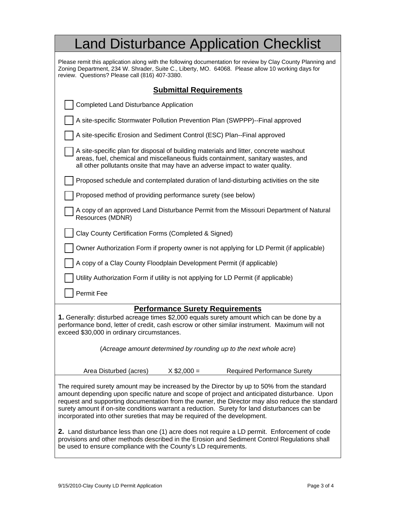| <b>Land Disturbance Application Checklist</b>                                                                                                                                                                                                                                                                                                                                                                                                                             |  |  |  |  |
|---------------------------------------------------------------------------------------------------------------------------------------------------------------------------------------------------------------------------------------------------------------------------------------------------------------------------------------------------------------------------------------------------------------------------------------------------------------------------|--|--|--|--|
| Please remit this application along with the following documentation for review by Clay County Planning and<br>Zoning Department, 234 W. Shrader, Suite C., Liberty, MO. 64068. Please allow 10 working days for<br>review. Questions? Please call (816) 407-3380.                                                                                                                                                                                                        |  |  |  |  |
| <b>Submittal Requirements</b>                                                                                                                                                                                                                                                                                                                                                                                                                                             |  |  |  |  |
| <b>Completed Land Disturbance Application</b>                                                                                                                                                                                                                                                                                                                                                                                                                             |  |  |  |  |
| A site-specific Stormwater Pollution Prevention Plan (SWPPP)--Final approved                                                                                                                                                                                                                                                                                                                                                                                              |  |  |  |  |
| A site-specific Erosion and Sediment Control (ESC) Plan--Final approved                                                                                                                                                                                                                                                                                                                                                                                                   |  |  |  |  |
| A site-specific plan for disposal of building materials and litter, concrete washout<br>areas, fuel, chemical and miscellaneous fluids containment, sanitary wastes, and<br>all other pollutants onsite that may have an adverse impact to water quality.                                                                                                                                                                                                                 |  |  |  |  |
| Proposed schedule and contemplated duration of land-disturbing activities on the site                                                                                                                                                                                                                                                                                                                                                                                     |  |  |  |  |
| Proposed method of providing performance surety (see below)                                                                                                                                                                                                                                                                                                                                                                                                               |  |  |  |  |
| A copy of an approved Land Disturbance Permit from the Missouri Department of Natural<br>Resources (MDNR)                                                                                                                                                                                                                                                                                                                                                                 |  |  |  |  |
| Clay County Certification Forms (Completed & Signed)                                                                                                                                                                                                                                                                                                                                                                                                                      |  |  |  |  |
| Owner Authorization Form if property owner is not applying for LD Permit (if applicable)                                                                                                                                                                                                                                                                                                                                                                                  |  |  |  |  |
| A copy of a Clay County Floodplain Development Permit (if applicable)                                                                                                                                                                                                                                                                                                                                                                                                     |  |  |  |  |
| Utility Authorization Form if utility is not applying for LD Permit (if applicable)                                                                                                                                                                                                                                                                                                                                                                                       |  |  |  |  |
| Permit Fee                                                                                                                                                                                                                                                                                                                                                                                                                                                                |  |  |  |  |
| <b>Performance Surety Requirements</b>                                                                                                                                                                                                                                                                                                                                                                                                                                    |  |  |  |  |
| 1. Generally: disturbed acreage times \$2,000 equals surety amount which can be done by a<br>performance bond, letter of credit, cash escrow or other similar instrument. Maximum will not<br>exceed \$30,000 in ordinary circumstances.                                                                                                                                                                                                                                  |  |  |  |  |
| (Acreage amount determined by rounding up to the next whole acre)                                                                                                                                                                                                                                                                                                                                                                                                         |  |  |  |  |
| <b>Required Performance Surety</b><br>Area Disturbed (acres)<br>$X$ \$2,000 =                                                                                                                                                                                                                                                                                                                                                                                             |  |  |  |  |
| The required surety amount may be increased by the Director by up to 50% from the standard<br>amount depending upon specific nature and scope of project and anticipated disturbance. Upon<br>request and supporting documentation from the owner, the Director may also reduce the standard<br>surety amount if on-site conditions warrant a reduction. Surety for land disturbances can be<br>incorporated into other sureties that may be required of the development. |  |  |  |  |
| 2. Land disturbance less than one (1) acre does not require a LD permit. Enforcement of code<br>provisions and other methods described in the Erosion and Sediment Control Regulations shall<br>be used to ensure compliance with the County's LD requirements.                                                                                                                                                                                                           |  |  |  |  |